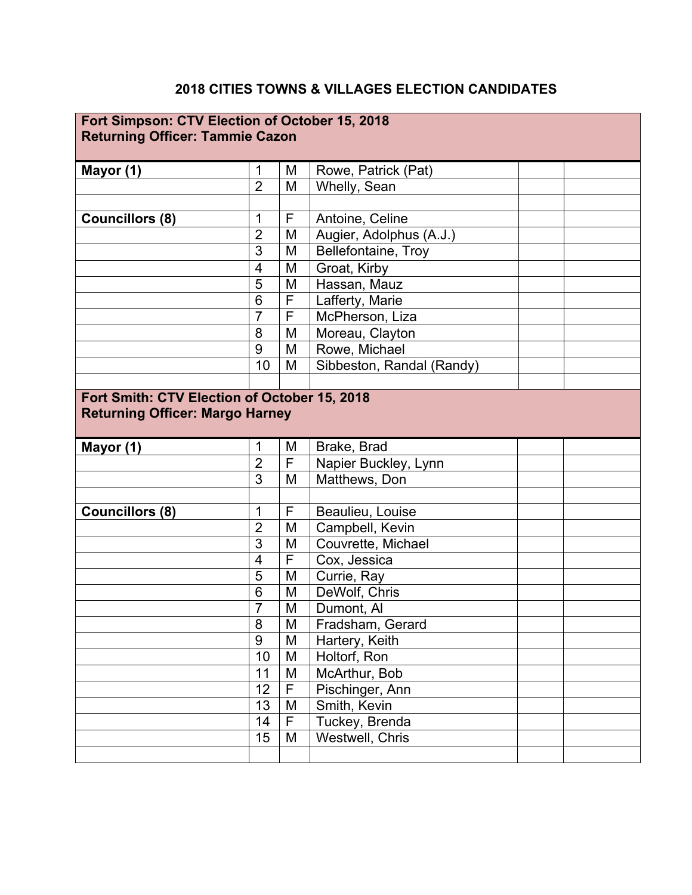## **2018 CITIES TOWNS & VILLAGES ELECTION CANDIDATES**

| Fort Simpson: CTV Election of October 15, 2018<br><b>Returning Officer: Tammie Cazon</b> |                |   |                           |  |
|------------------------------------------------------------------------------------------|----------------|---|---------------------------|--|
| Mayor (1)                                                                                | 1              | M | Rowe, Patrick (Pat)       |  |
|                                                                                          | $\overline{2}$ | M | Whelly, Sean              |  |
|                                                                                          |                |   |                           |  |
| <b>Councillors (8)</b>                                                                   | 1              | F | Antoine, Celine           |  |
|                                                                                          | $\overline{2}$ | M | Augier, Adolphus (A.J.)   |  |
|                                                                                          | 3              | M | Bellefontaine, Troy       |  |
|                                                                                          | 4              | M | Groat, Kirby              |  |
|                                                                                          | 5              | M | Hassan, Mauz              |  |
|                                                                                          | 6              | F | Lafferty, Marie           |  |
|                                                                                          | $\overline{7}$ | F | McPherson, Liza           |  |
|                                                                                          | 8              | M | Moreau, Clayton           |  |
|                                                                                          | 9              | M | Rowe, Michael             |  |
|                                                                                          | 10             | M | Sibbeston, Randal (Randy) |  |
|                                                                                          |                |   |                           |  |
| Mayor (1)                                                                                | $\mathbf 1$    | M | Brake, Brad               |  |
|                                                                                          | $\overline{2}$ | F | Napier Buckley, Lynn      |  |
|                                                                                          | 3              | M | Matthews, Don             |  |
|                                                                                          |                |   |                           |  |
| <b>Councillors (8)</b>                                                                   | 1              | F | Beaulieu, Louise          |  |
|                                                                                          | $\overline{2}$ | M | Campbell, Kevin           |  |
|                                                                                          | 3              | M | Couvrette, Michael        |  |
|                                                                                          | 4              | F | Cox, Jessica              |  |
|                                                                                          | 5              | M | Currie, Ray               |  |
|                                                                                          | 6              | M | DeWolf, Chris             |  |
|                                                                                          | $\overline{7}$ | M | Dumont, Al                |  |
|                                                                                          | 8              | M | Fradsham, Gerard          |  |
|                                                                                          | 9              | M | Hartery, Keith            |  |
|                                                                                          | 10             | M | Holtorf, Ron              |  |
|                                                                                          | 11             | M | McArthur, Bob             |  |
|                                                                                          | 12             | F | Pischinger, Ann           |  |
|                                                                                          | 13             | M | Smith, Kevin              |  |
|                                                                                          | 14             | F | Tuckey, Brenda            |  |
|                                                                                          | 15             | M | Westwell, Chris           |  |
|                                                                                          |                |   |                           |  |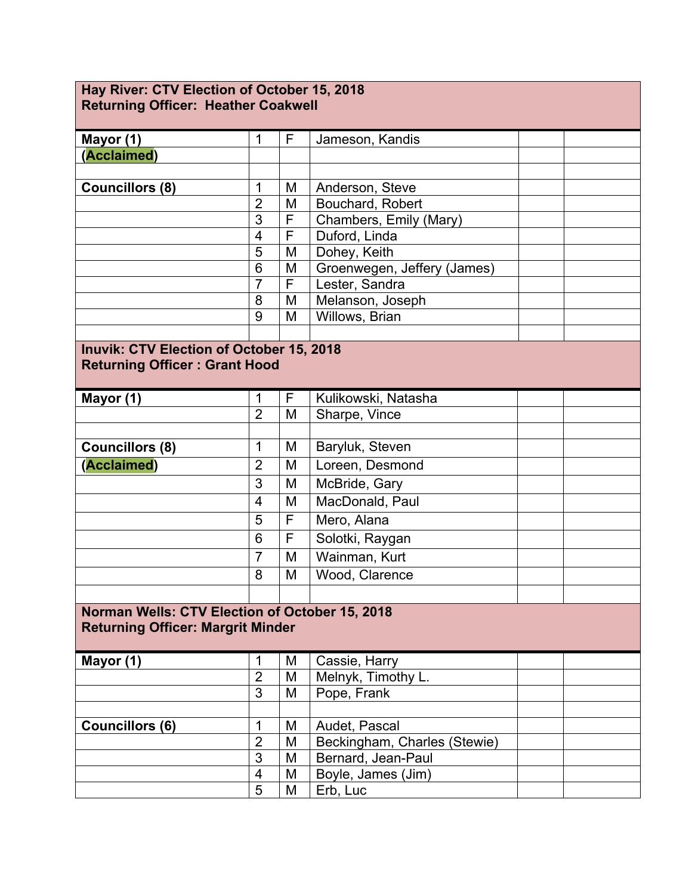| Hay River: CTV Election of October 15, 2018<br><b>Returning Officer: Heather Coakwell</b> |                          |   |                              |  |  |  |  |
|-------------------------------------------------------------------------------------------|--------------------------|---|------------------------------|--|--|--|--|
|                                                                                           |                          |   |                              |  |  |  |  |
| Mayor (1)                                                                                 | 1                        | F | Jameson, Kandis              |  |  |  |  |
| (Acclaimed)                                                                               |                          |   |                              |  |  |  |  |
|                                                                                           |                          |   |                              |  |  |  |  |
| <b>Councillors (8)</b>                                                                    | 1                        | M | Anderson, Steve              |  |  |  |  |
|                                                                                           | $\overline{2}$           | M | Bouchard, Robert             |  |  |  |  |
|                                                                                           | 3                        | F | Chambers, Emily (Mary)       |  |  |  |  |
|                                                                                           | $\overline{\mathcal{A}}$ | F | Duford, Linda                |  |  |  |  |
|                                                                                           | 5                        | M | Dohey, Keith                 |  |  |  |  |
|                                                                                           | 6                        | M | Groenwegen, Jeffery (James)  |  |  |  |  |
|                                                                                           | $\overline{7}$           | F | Lester, Sandra               |  |  |  |  |
|                                                                                           | 8                        | M | Melanson, Joseph             |  |  |  |  |
|                                                                                           | 9                        | M | Willows, Brian               |  |  |  |  |
|                                                                                           |                          |   |                              |  |  |  |  |
| <b>Inuvik: CTV Election of October 15, 2018</b>                                           |                          |   |                              |  |  |  |  |
| <b>Returning Officer: Grant Hood</b>                                                      |                          |   |                              |  |  |  |  |
| Mayor (1)                                                                                 | 1                        | F | Kulikowski, Natasha          |  |  |  |  |
|                                                                                           | $\overline{2}$           | M | Sharpe, Vince                |  |  |  |  |
|                                                                                           |                          |   |                              |  |  |  |  |
| Councillors (8)                                                                           | 1                        | M | Baryluk, Steven              |  |  |  |  |
| (Acclaimed)                                                                               | $\overline{2}$           | M | Loreen, Desmond              |  |  |  |  |
|                                                                                           | 3                        | M | McBride, Gary                |  |  |  |  |
|                                                                                           | 4                        | M | MacDonald, Paul              |  |  |  |  |
|                                                                                           | 5                        | F | Mero, Alana                  |  |  |  |  |
|                                                                                           | 6                        | F | Solotki, Raygan              |  |  |  |  |
|                                                                                           | $\overline{7}$           | M | Wainman, Kurt                |  |  |  |  |
|                                                                                           | 8                        | M | Wood, Clarence               |  |  |  |  |
|                                                                                           |                          |   |                              |  |  |  |  |
| Norman Wells: CTV Election of October 15, 2018                                            |                          |   |                              |  |  |  |  |
| <b>Returning Officer: Margrit Minder</b>                                                  |                          |   |                              |  |  |  |  |
| Mayor (1)                                                                                 | 1                        | M | Cassie, Harry                |  |  |  |  |
|                                                                                           | $\overline{2}$           | M | Melnyk, Timothy L.           |  |  |  |  |
|                                                                                           | 3                        | M | Pope, Frank                  |  |  |  |  |
|                                                                                           |                          |   |                              |  |  |  |  |
| <b>Councillors (6)</b>                                                                    | $\mathbf 1$              | M | Audet, Pascal                |  |  |  |  |
|                                                                                           | $\overline{2}$           | M | Beckingham, Charles (Stewie) |  |  |  |  |
|                                                                                           | 3                        | M | Bernard, Jean-Paul           |  |  |  |  |
|                                                                                           | 4                        | M | Boyle, James (Jim)           |  |  |  |  |
|                                                                                           | 5                        | M | Erb, Luc                     |  |  |  |  |